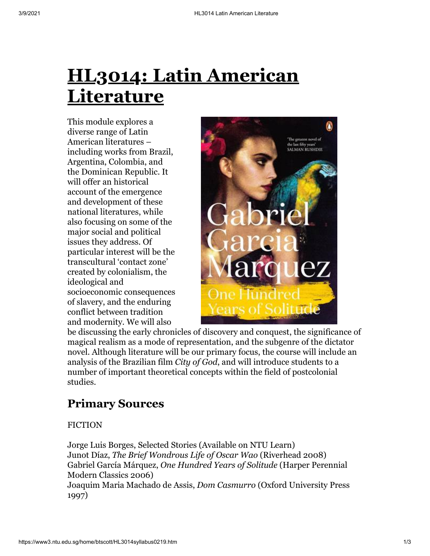# **HL3014: Latin American Literature**

This module explores a diverse range of Latin American literatures – including works from Brazil, Argentina, Colombia, and the Dominican Republic. It will offer an historical account of the emergence and development of these national literatures, while also focusing on some of the major social and political issues they address. Of particular interest will be the transcultural 'contact zone' created by colonialism, the ideological and socioeconomic consequences of slavery, and the enduring conflict between tradition and modernity. We will also



be discussing the early chronicles of discovery and conquest, the significance of magical realism as a mode of representation, and the subgenre of the dictator novel. Although literature will be our primary focus, the course will include an analysis of the Brazilian film *City of God*, and will introduce students to a number of important theoretical concepts within the field of postcolonial studies.

## **Primary Sources**

#### FICTION

Jorge Luis Borges, Selected Stories (Available on NTU Learn) Junot Díaz, *The Brief Wondrous Life of Oscar Wao* (Riverhead 2008) Gabriel García Márquez, *One Hundred Years of Solitude* (Harper Perennial Modern Classics 2006) Joaquim Maria Machado de Assis, *Dom Casmurro* (Oxford University Press

1997)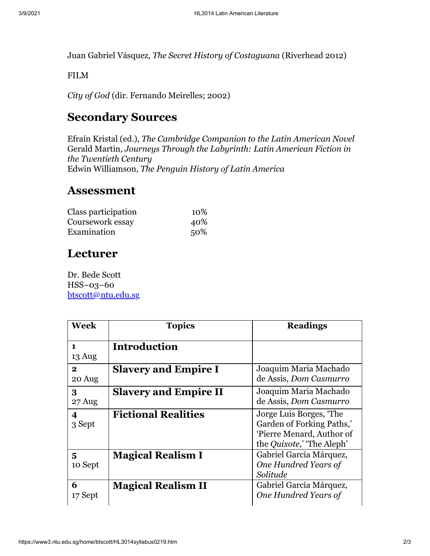Juan Gabriel Vásquez, *The Secret History of Costaguana* (Riverhead 2012)

FILM

*City of God* (dir. Fernando Meirelles; 2002)

### **Secondary Sources**

Efraín Kristal (ed.), *The Cambridge Companion to the Latin American Novel* Gerald Martin, *Journeys Through the Labyrinth: Latin American Fiction in the Twentieth Century* Edwin Williamson, *The Penguin History of Latin America*

#### **Assessment**

| Class participation | 10\% |
|---------------------|------|
| Coursework essay    | 40%  |
| Examination         | 50%  |

#### **Lecturer**

Dr. Bede Scott HSS–03–60 [btscott@ntu.edu.sg](mailto:btscott@ntu.edu.sg)

| <b>Week</b>            | <b>Topics</b>                | <b>Readings</b>                                                                                                       |
|------------------------|------------------------------|-----------------------------------------------------------------------------------------------------------------------|
| $\mathbf{1}$<br>13 Aug | <b>Introduction</b>          |                                                                                                                       |
| $\mathbf{2}$<br>20 Aug | <b>Slavery and Empire I</b>  | Joaquim Maria Machado<br>de Assis, Dom Casmurro                                                                       |
| 3<br>27 Aug            | <b>Slavery and Empire II</b> | Joaquim Maria Machado<br>de Assis, Dom Casmurro                                                                       |
| 4<br>3 Sept            | <b>Fictional Realities</b>   | Jorge Luis Borges, 'The<br>Garden of Forking Paths,'<br>'Pierre Menard, Author of<br>the <i>Quixote</i> ,' The Aleph' |
| 5<br>10 Sept           | <b>Magical Realism I</b>     | Gabriel García Márquez,<br>One Hundred Years of<br>Solitude                                                           |
| 6<br>17 Sept           | <b>Magical Realism II</b>    | Gabriel García Márquez,<br>One Hundred Years of                                                                       |